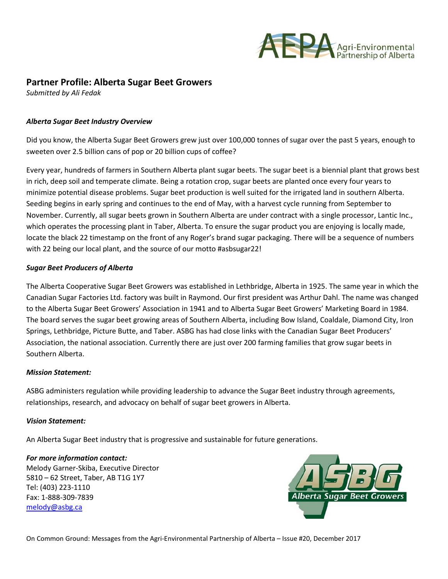

# **Partner Profile: Alberta Sugar Beet Growers**

*Submitted by Ali Fedak*

## *Alberta Sugar Beet Industry Overview*

Did you know, the Alberta Sugar Beet Growers grew just over 100,000 tonnes of sugar over the past 5 years, enough to sweeten over 2.5 billion cans of pop or 20 billion cups of coffee?

Every year, hundreds of farmers in Southern Alberta plant sugar beets. The sugar beet is a biennial plant that grows best in rich, deep soil and temperate climate. Being a rotation crop, sugar beets are planted once every four years to minimize potential disease problems. Sugar beet production is well suited for the irrigated land in southern Alberta. Seeding begins in early spring and continues to the end of May, with a harvest cycle running from September to November. Currently, all sugar beets grown in Southern Alberta are under contract with a single processor, Lantic Inc., which operates the processing plant in Taber, Alberta. To ensure the sugar product you are enjoying is locally made, locate the black 22 timestamp on the front of any Roger's brand sugar packaging. There will be a sequence of numbers with 22 being our local plant, and the source of our motto #asbsugar22!

## *Sugar Beet Producers of Alberta*

The Alberta Cooperative Sugar Beet Growers was established in Lethbridge, Alberta in 1925. The same year in which the Canadian Sugar Factories Ltd. factory was built in Raymond. Our first president was Arthur Dahl. The name was changed to the Alberta Sugar Beet Growers' Association in 1941 and to Alberta Sugar Beet Growers' Marketing Board in 1984. The board serves the sugar beet growing areas of Southern Alberta, including Bow Island, Coaldale, Diamond City, Iron Springs, Lethbridge, Picture Butte, and Taber. ASBG has had close links with the Canadian Sugar Beet Producers' Association, the national association. Currently there are just over 200 farming families that grow sugar beets in Southern Alberta.

#### *Mission Statement:*

ASBG administers regulation while providing leadership to advance the Sugar Beet industry through agreements, relationships, research, and advocacy on behalf of sugar beet growers in Alberta.

#### *Vision Statement:*

An Alberta Sugar Beet industry that is progressive and sustainable for future generations.

#### *For more information contact:*

Melody Garner-Skiba, Executive Director 5810 – 62 Street, Taber, AB T1G 1Y7 Tel: (403) 223-1110 Fax: 1-888-309-7839 [melody@asbg.ca](mailto:melody@asbg.ca)



On Common Ground: Messages from the Agri-Environmental Partnership of Alberta – Issue #20, December 2017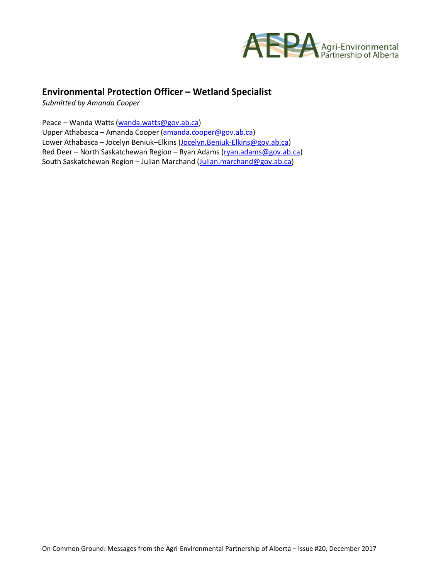

# **Environmental Protection Officer – Wetland Specialist**

*Submitted by Amanda Cooper*

Peace – Wanda Watts [\(wanda.watts@gov.ab.ca\)](mailto:wanda.watts@gov.ab.ca)

Upper Athabasca – Amanda Cooper [\(amanda.cooper@gov.ab.ca\)](mailto:amanda.cooper@gov.ab.ca) Lower Athabasca – Jocelyn Beniuk–Elkins [\(Jocelyn.Beniuk-Elkins@gov.ab.ca\)](mailto:Jocelyn.Beniuk-Elkins@gov.ab.ca) Red Deer – North Saskatchewan Region – Ryan Adams [\(ryan.adams@gov.ab.ca\)](mailto:ryan.adams@gov.ab.ca) South Saskatchewan Region – Julian Marchand [\(Julian.marchand@gov.ab.ca\)](mailto:Julian.marchand@gov.ab.ca)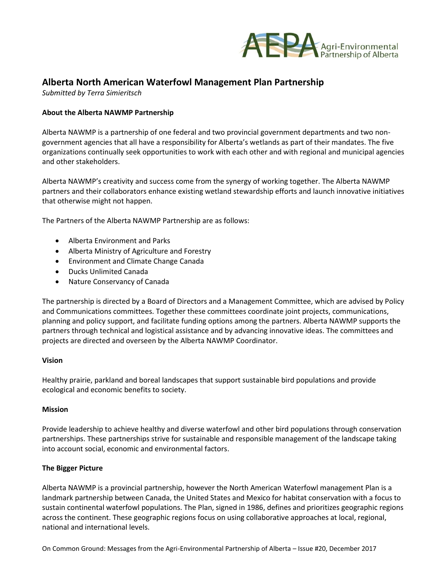

# **Alberta North American Waterfowl Management Plan Partnership**

*Submitted by Terra Simieritsch*

# **About the Alberta NAWMP Partnership**

Alberta NAWMP is a partnership of one federal and two provincial government departments and two nongovernment agencies that all have a responsibility for Alberta's wetlands as part of their mandates. The five organizations continually seek opportunities to work with each other and with regional and municipal agencies and other stakeholders.

Alberta NAWMP's creativity and success come from the synergy of working together. The Alberta NAWMP partners and their collaborators enhance existing wetland stewardship efforts and launch innovative initiatives that otherwise might not happen.

The Partners of the Alberta NAWMP Partnership are as follows:

- Alberta Environment and Parks
- Alberta Ministry of Agriculture and Forestry
- Environment and Climate Change Canada
- Ducks Unlimited Canada
- Nature Conservancy of Canada

The partnership is directed by a Board of Directors and a Management Committee, which are advised by Policy and Communications committees. Together these committees coordinate joint projects, communications, planning and policy support, and facilitate funding options among the partners. Alberta NAWMP supports the partners through technical and logistical assistance and by advancing innovative ideas. The committees and projects are directed and overseen by the Alberta NAWMP Coordinator.

## **Vision**

Healthy prairie, parkland and boreal landscapes that support sustainable bird populations and provide ecological and economic benefits to society.

#### **Mission**

Provide leadership to achieve healthy and diverse waterfowl and other bird populations through conservation partnerships. These partnerships strive for sustainable and responsible management of the landscape taking into account social, economic and environmental factors.

## **The Bigger Picture**

Alberta NAWMP is a provincial partnership, however the North American Waterfowl management Plan is a landmark partnership between Canada, the United States and Mexico for habitat conservation with a focus to sustain continental waterfowl populations. The Plan, signed in 1986, defines and prioritizes geographic regions across the continent. These geographic regions focus on using collaborative approaches at local, regional, national and international levels.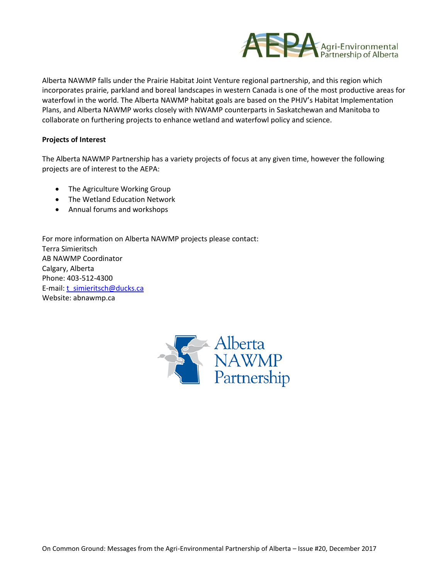

Alberta NAWMP falls under the Prairie Habitat Joint Venture regional partnership, and this region which incorporates prairie, parkland and boreal landscapes in western Canada is one of the most productive areas for waterfowl in the world. The Alberta NAWMP habitat goals are based on the PHJV's Habitat Implementation Plans, and Alberta NAWMP works closely with NWAMP counterparts in Saskatchewan and Manitoba to collaborate on furthering projects to enhance wetland and waterfowl policy and science.

## **Projects of Interest**

The Alberta NAWMP Partnership has a variety projects of focus at any given time, however the following projects are of interest to the AEPA:

- The Agriculture Working Group
- The Wetland Education Network
- Annual forums and workshops

For more information on Alberta NAWMP projects please contact: Terra Simieritsch AB NAWMP Coordinator Calgary, Alberta Phone: 403-512-4300 E-mail: [t\\_simieritsch@ducks.ca](mailto:t_simieritsch@ducks.ca) Website: abnawmp.ca

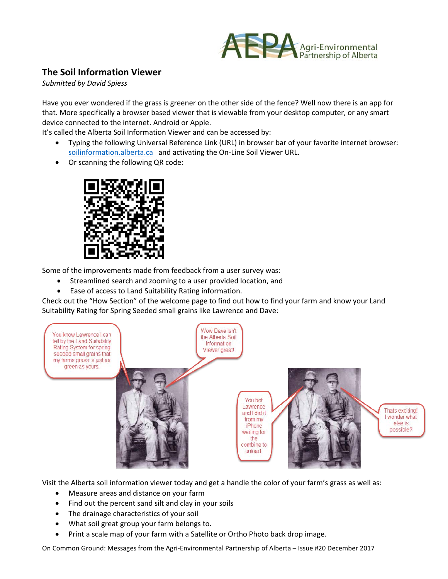

# **The Soil Information Viewer**

*Submitted by David Spiess*

Have you ever wondered if the grass is greener on the other side of the fence? Well now there is an app for that. More specifically a browser based viewer that is viewable from your desktop computer, or any smart device connected to the internet. Android or Apple.

It's called the Alberta Soil Information Viewer and can be accessed by:

- Typing the following Universal Reference Link (URL) in browser bar of your favorite internet browser: [soilinformation.alberta.ca](https://soilinformation.alberta.ca/) and activating the On-Line Soil Viewer URL.
- Or scanning the following QR code:



Some of the improvements made from feedback from a user survey was:

- Streamlined search and zooming to a user provided location, and
- Ease of access to Land Suitability Rating information.

Check out the "How Section" of the welcome page to find out how to find your farm and know your Land Suitability Rating for Spring Seeded small grains like Lawrence and Dave:



Visit the Alberta soil information viewer today and get a handle the color of your farm's grass as well as:

- Measure areas and distance on your farm
- Find out the percent sand silt and clay in your soils
- The drainage characteristics of your soil
- What soil great group your farm belongs to.
- Print a scale map of your farm with a Satellite or Ortho Photo back drop image.

On Common Ground: Messages from the Agri-Environmental Partnership of Alberta – Issue #20 December 2017